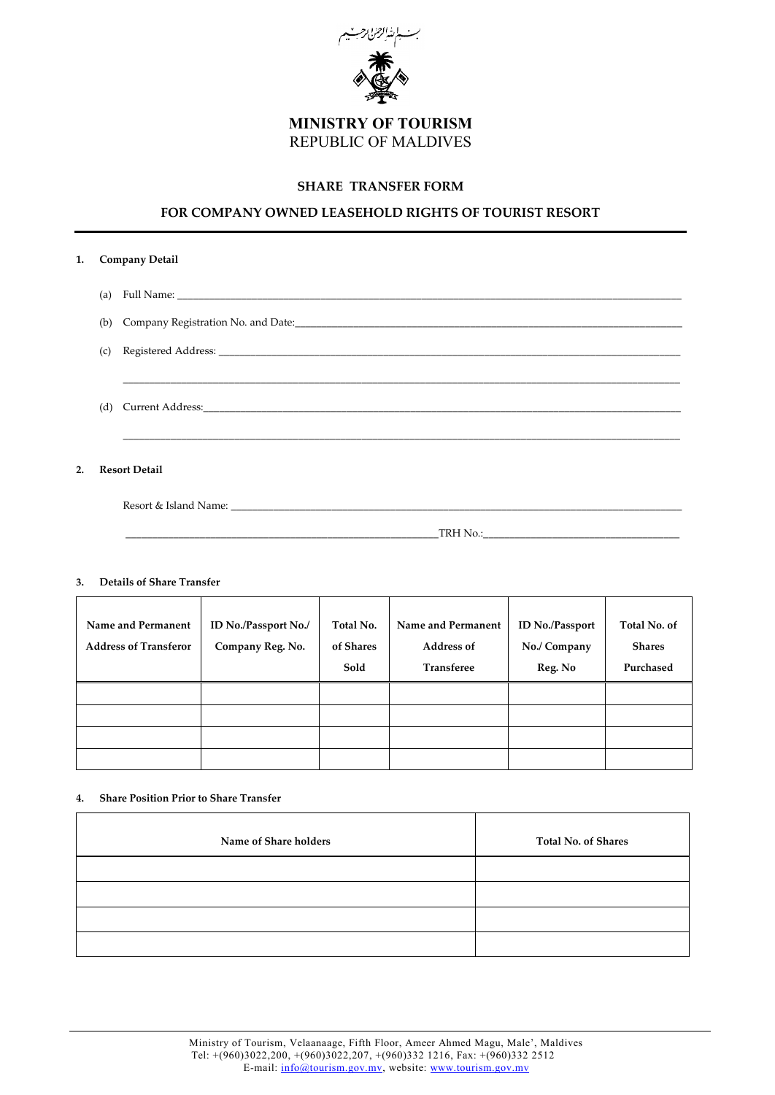

## **MINISTRY OF TOURISM** REPUBLIC OF MALDIVES

#### **SHARE****TRANSFER FORM**

### **FOR COMPANY OWNED LEASEHOLD RIGHTS OF TOURIST RESORT**

# **1. Company Detail** (a) Full Name: \_\_\_\_\_\_\_\_\_\_\_\_\_\_\_\_\_\_\_\_\_\_\_\_\_\_\_\_\_\_\_\_\_\_\_\_\_\_\_\_\_\_\_\_\_\_\_\_\_\_\_\_\_\_\_\_\_\_\_\_\_\_\_\_\_\_\_\_\_\_\_\_\_\_\_\_\_\_\_\_\_\_\_\_\_\_\_\_\_\_\_\_\_\_\_ (b) Company Registration No. and Date: (c) Registered Address: \_\_\_\_\_\_\_\_\_\_\_\_\_\_\_\_\_\_\_\_\_\_\_\_\_\_\_\_\_\_\_\_\_\_\_\_\_\_\_\_\_\_\_\_\_\_\_\_\_\_\_\_\_\_\_\_\_\_\_\_\_\_\_\_\_\_\_\_\_\_\_\_\_\_\_\_\_\_\_\_\_\_\_\_\_\_\_ \_\_\_\_\_\_\_\_\_\_\_\_\_\_\_\_\_\_\_\_\_\_\_\_\_\_\_\_\_\_\_\_\_\_\_\_\_\_\_\_\_\_\_\_\_\_\_\_\_\_\_\_\_\_\_\_\_\_\_\_\_\_\_\_\_\_\_\_\_\_\_\_\_\_\_\_\_\_\_\_\_\_\_\_\_\_\_\_\_\_\_\_\_\_\_\_\_\_\_\_\_\_\_\_\_ (d) Current Address:\_\_\_\_\_\_\_\_\_\_\_\_\_\_\_\_\_\_\_\_\_\_\_\_\_\_\_\_\_\_\_\_\_\_\_\_\_\_\_\_\_\_\_\_\_\_\_\_\_\_\_\_\_\_\_\_\_\_\_\_\_\_\_\_\_\_\_\_\_\_\_\_\_\_\_\_\_\_\_\_\_\_\_\_\_\_\_\_\_\_ \_\_\_\_\_\_\_\_\_\_\_\_\_\_\_\_\_\_\_\_\_\_\_\_\_\_\_\_\_\_\_\_\_\_\_\_\_\_\_\_\_\_\_\_\_\_\_\_\_\_\_\_\_\_\_\_\_\_\_\_\_\_\_\_\_\_\_\_\_\_\_\_\_\_\_\_\_\_\_\_\_\_\_\_\_\_\_\_\_\_\_\_\_\_\_\_\_\_\_\_\_\_\_\_\_ **2. Resort Detail** Resort & Island Name: \_\_\_\_\_\_\_\_\_\_\_\_\_\_\_\_\_\_\_\_\_\_\_\_\_\_\_\_\_\_\_\_\_\_\_\_\_\_\_\_\_\_\_\_\_\_\_\_\_\_\_\_\_\_\_\_\_\_\_\_\_\_\_\_\_\_\_\_\_\_\_\_\_\_\_\_\_\_\_\_\_\_\_\_\_

**3. Details of Share Transfer**

| Name and Permanent<br><b>Address of Transferor</b> | ID No./Passport No./<br>Company Reg. No. | Total No.<br>of Shares<br>Sold | Name and Permanent<br><b>Address of</b><br><b>Transferee</b> | ID No./Passport<br>No./ Company<br>Reg. No | Total No. of<br><b>Shares</b><br>Purchased |
|----------------------------------------------------|------------------------------------------|--------------------------------|--------------------------------------------------------------|--------------------------------------------|--------------------------------------------|
|                                                    |                                          |                                |                                                              |                                            |                                            |
|                                                    |                                          |                                |                                                              |                                            |                                            |

\_\_\_\_\_\_\_\_\_\_\_\_\_\_\_\_\_\_\_\_\_\_\_\_\_\_\_\_\_\_\_\_\_\_\_\_\_\_\_\_\_\_\_\_\_\_\_\_\_\_\_\_\_\_\_\_\_\_\_TRH No.:\_\_\_\_\_\_\_\_\_\_\_\_\_\_\_\_\_\_\_\_\_\_\_\_\_\_\_\_\_\_\_\_\_\_\_\_\_

#### **4. Share Position Prior to Share Transfer**

| Name of Share holders | <b>Total No. of Shares</b> |  |
|-----------------------|----------------------------|--|
|                       |                            |  |
|                       |                            |  |
|                       |                            |  |
|                       |                            |  |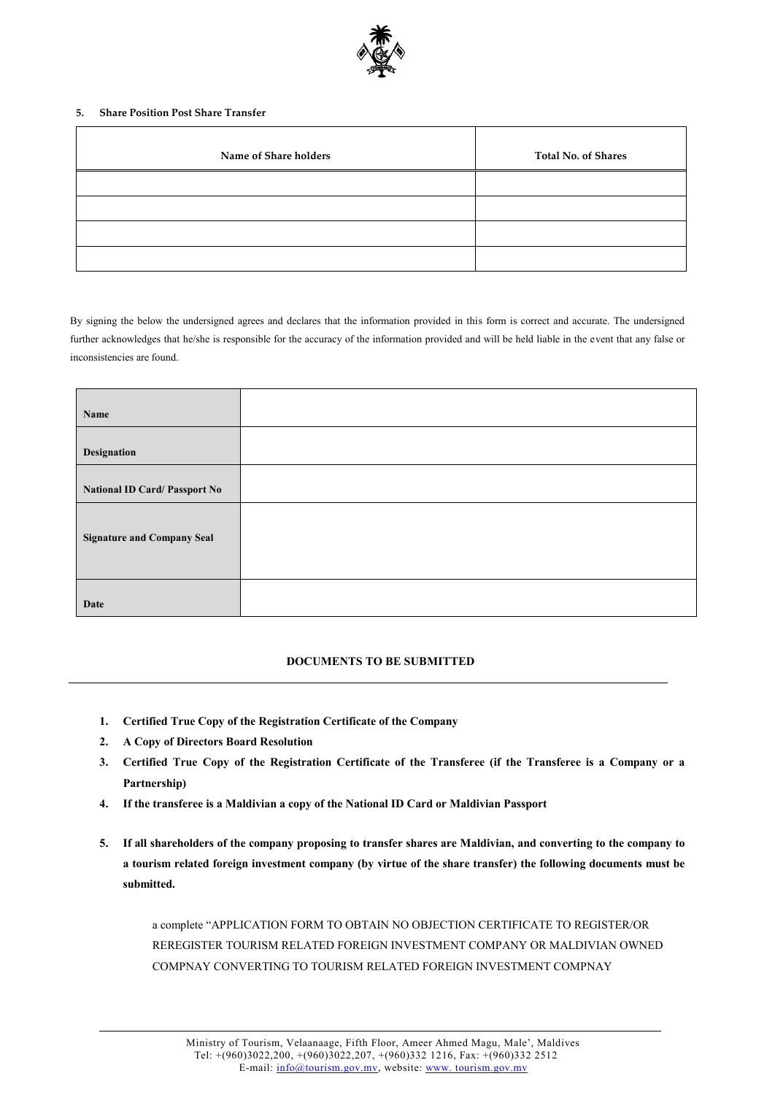

#### **5. Share Position Post Share Transfer**

| Name of Share holders | <b>Total No. of Shares</b> |  |
|-----------------------|----------------------------|--|
|                       |                            |  |
|                       |                            |  |
|                       |                            |  |
|                       |                            |  |

By signing the below the undersigned agrees and declares that the information provided in this form is correct and accurate. The undersigned further acknowledges that he/she is responsible for the accuracy of the information provided and will be held liable in the event that any false or inconsistencies are found.

| Name                              |  |
|-----------------------------------|--|
| Designation                       |  |
| National ID Card/ Passport No     |  |
| <b>Signature and Company Seal</b> |  |
|                                   |  |
| Date                              |  |

#### **DOCUMENTS TO BE SUBMITTED**

- **1. Certified True Copy of the Registration Certificate of the Company**
- **2. A Copy of Directors Board Resolution**
- **3. Certified True Copy of the Registration Certificate of the Transferee (if the Transferee is a Company or a Partnership)**
- **4. If the transferee is a Maldivian a copy of the National ID Card or Maldivian Passport**
- **5. If all shareholders of the company proposing to transfer shares are Maldivian, and converting to the company to a tourism related foreign investment company (by virtue of the share transfer) the following documents must be submitted.**

a complete "APPLICATION FORM TO OBTAIN NO OBJECTION CERTIFICATE TO REGISTER/OR REREGISTER TOURISM RELATED FOREIGN INVESTMENT COMPANY OR MALDIVIAN OWNED COMPNAY CONVERTING TO TOURISM RELATED FOREIGN INVESTMENT COMPNAY